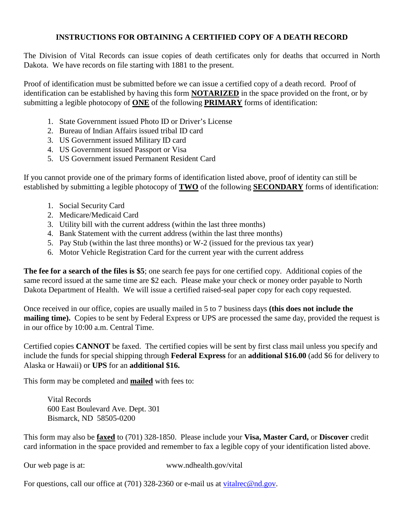## **INSTRUCTIONS FOR OBTAINING A CERTIFIED COPY OF A DEATH RECORD**

The Division of Vital Records can issue copies of death certificates only for deaths that occurred in North Dakota. We have records on file starting with 1881 to the present.

Proof of identification must be submitted before we can issue a certified copy of a death record. Proof of identification can be established by having this form **NOTARIZED** in the space provided on the front, or by submitting a legible photocopy of **ONE** of the following **PRIMARY** forms of identification:

- 1. State Government issued Photo ID or Driver's License
- 2. Bureau of Indian Affairs issued tribal ID card
- 3. US Government issued Military ID card
- 4. US Government issued Passport or Visa
- 5. US Government issued Permanent Resident Card

If you cannot provide one of the primary forms of identification listed above, proof of identity can still be established by submitting a legible photocopy of **TWO** of the following **SECONDARY** forms of identification:

- 1. Social Security Card
- 2. Medicare/Medicaid Card
- 3. Utility bill with the current address (within the last three months)
- 4. Bank Statement with the current address (within the last three months)
- 5. Pay Stub (within the last three months) or W-2 (issued for the previous tax year)
- 6. Motor Vehicle Registration Card for the current year with the current address

**The fee for a search of the files is \$5**; one search fee pays for one certified copy. Additional copies of the same record issued at the same time are \$2 each. Please make your check or money order payable to North Dakota Department of Health. We will issue a certified raised-seal paper copy for each copy requested.

Once received in our office, copies are usually mailed in 5 to 7 business days **(this does not include the mailing time).** Copies to be sent by Federal Express or UPS are processed the same day, provided the request is in our office by 10:00 a.m. Central Time.

Certified copies **CANNOT** be faxed. The certified copies will be sent by first class mail unless you specify and include the funds for special shipping through **Federal Express** for an **additional \$16.00** (add \$6 for delivery to Alaska or Hawaii) or **UPS** for an **additional \$16.** 

This form may be completed and **mailed** with fees to:

Vital Records 600 East Boulevard Ave. Dept. 301 Bismarck, ND 58505-0200

This form may also be **faxed** to (701) 328-1850. Please include your **Visa, Master Card,** or **Discover** credit card information in the space provided and remember to fax a legible copy of your identification listed above.

Our web page is at: www.ndhealth.gov/vital

For questions, call our office at (701) 328-2360 or e-mail us at [vitalrec@nd.gov.](mailto:vitalrec@nd.gov)